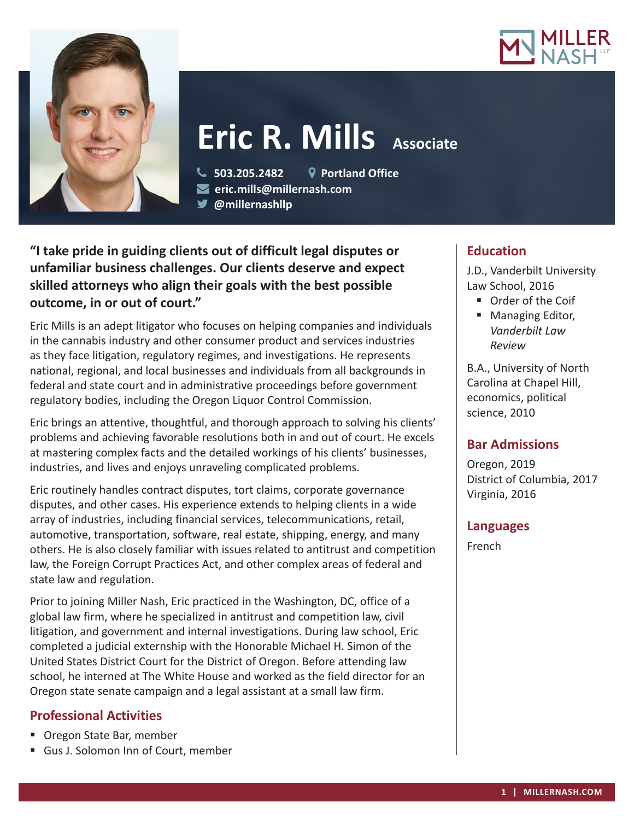



# **Eric R. Mills Associate**

 **503.205.2482 Portland Office eric.mills@millernash.com** 

**@millernashllp**

**"I take pride in guiding clients out of difficult legal disputes or unfamiliar business challenges. Our clients deserve and expect skilled attorneys who align their goals with the best possible outcome, in or out of court."**

Eric Mills is an adept litigator who focuses on helping companies and individuals in the cannabis industry and other consumer product and services industries as they face litigation, regulatory regimes, and investigations. He represents national, regional, and local businesses and individuals from all backgrounds in federal and state court and in administrative proceedings before government regulatory bodies, including the Oregon Liquor Control Commission.

Eric brings an attentive, thoughtful, and thorough approach to solving his clients' problems and achieving favorable resolutions both in and out of court. He excels at mastering complex facts and the detailed workings of his clients' businesses, industries, and lives and enjoys unraveling complicated problems.

Eric routinely handles contract disputes, tort claims, corporate governance disputes, and other cases. His experience extends to helping clients in a wide array of industries, including financial services, telecommunications, retail, automotive, transportation, software, real estate, shipping, energy, and many others. He is also closely familiar with issues related to antitrust and competition law, the Foreign Corrupt Practices Act, and other complex areas of federal and state law and regulation.

Prior to joining Miller Nash, Eric practiced in the Washington, DC, office of a global law firm, where he specialized in antitrust and competition law, civil litigation, and government and internal investigations. During law school, Eric completed a judicial externship with the Honorable Michael H. Simon of the United States District Court for the District of Oregon. Before attending law school, he interned at The White House and worked as the field director for an Oregon state senate campaign and a legal assistant at a small law firm.

# **Professional Activities**

- Oregon State Bar, member
- Gus J. Solomon Inn of Court, member

# **Education**

J.D., Vanderbilt University Law School, 2016

- Order of the Coif
- Managing Editor, *Vanderbilt Law Review*

B.A., University of North Carolina at Chapel Hill, economics, political science, 2010

# **Bar Admissions**

Oregon, 2019 District of Columbia, 2017 Virginia, 2016

## **Languages**

French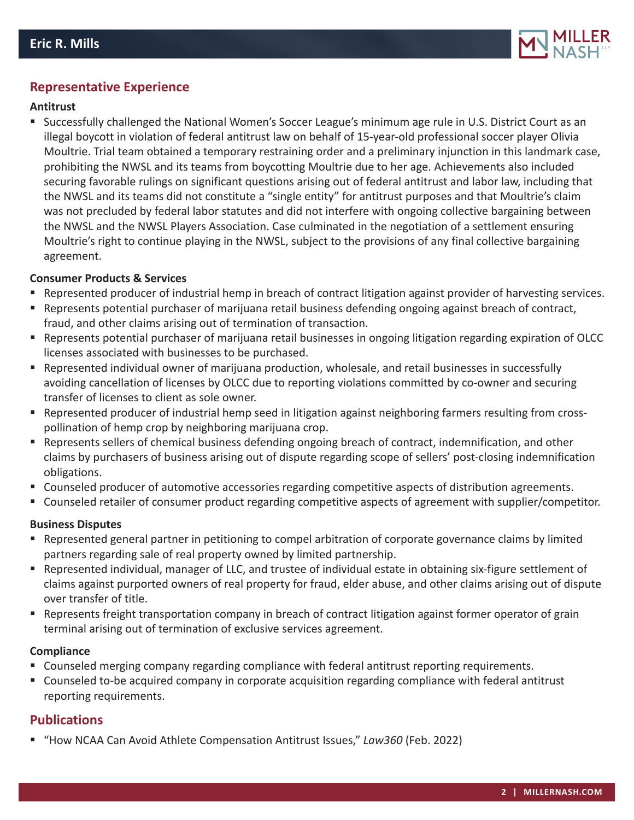

## **Representative Experience**

#### **Antitrust**

 Successfully challenged the National Women's Soccer League's minimum age rule in U.S. District Court as an illegal boycott in violation of federal antitrust law on behalf of 15-year-old professional soccer player Olivia Moultrie. Trial team obtained a temporary restraining order and a preliminary injunction in this landmark case, prohibiting the NWSL and its teams from boycotting Moultrie due to her age. Achievements also included securing favorable rulings on significant questions arising out of federal antitrust and labor law, including that the NWSL and its teams did not constitute a "single entity" for antitrust purposes and that Moultrie's claim was not precluded by federal labor statutes and did not interfere with ongoing collective bargaining between the NWSL and the NWSL Players Association. Case culminated in the negotiation of a settlement ensuring Moultrie's right to continue playing in the NWSL, subject to the provisions of any final collective bargaining agreement.

#### **Consumer Products & Services**

- Represented producer of industrial hemp in breach of contract litigation against provider of harvesting services.
- Represents potential purchaser of marijuana retail business defending ongoing against breach of contract, fraud, and other claims arising out of termination of transaction.
- Represents potential purchaser of marijuana retail businesses in ongoing litigation regarding expiration of OLCC licenses associated with businesses to be purchased.
- Represented individual owner of marijuana production, wholesale, and retail businesses in successfully avoiding cancellation of licenses by OLCC due to reporting violations committed by co-owner and securing transfer of licenses to client as sole owner.
- Represented producer of industrial hemp seed in litigation against neighboring farmers resulting from crosspollination of hemp crop by neighboring marijuana crop.
- **Represents sellers of chemical business defending ongoing breach of contract, indemnification, and other** claims by purchasers of business arising out of dispute regarding scope of sellers' post-closing indemnification obligations.
- Counseled producer of automotive accessories regarding competitive aspects of distribution agreements.
- Counseled retailer of consumer product regarding competitive aspects of agreement with supplier/competitor.

#### **Business Disputes**

- Represented general partner in petitioning to compel arbitration of corporate governance claims by limited partners regarding sale of real property owned by limited partnership.
- Represented individual, manager of LLC, and trustee of individual estate in obtaining six-figure settlement of claims against purported owners of real property for fraud, elder abuse, and other claims arising out of dispute over transfer of title.
- Represents freight transportation company in breach of contract litigation against former operator of grain terminal arising out of termination of exclusive services agreement.

#### **Compliance**

- Counseled merging company regarding compliance with federal antitrust reporting requirements.
- Counseled to-be acquired company in corporate acquisition regarding compliance with federal antitrust reporting requirements.

## **Publications**

"How NCAA Can Avoid Athlete Compensation Antitrust Issues," *Law360* (Feb. 2022)